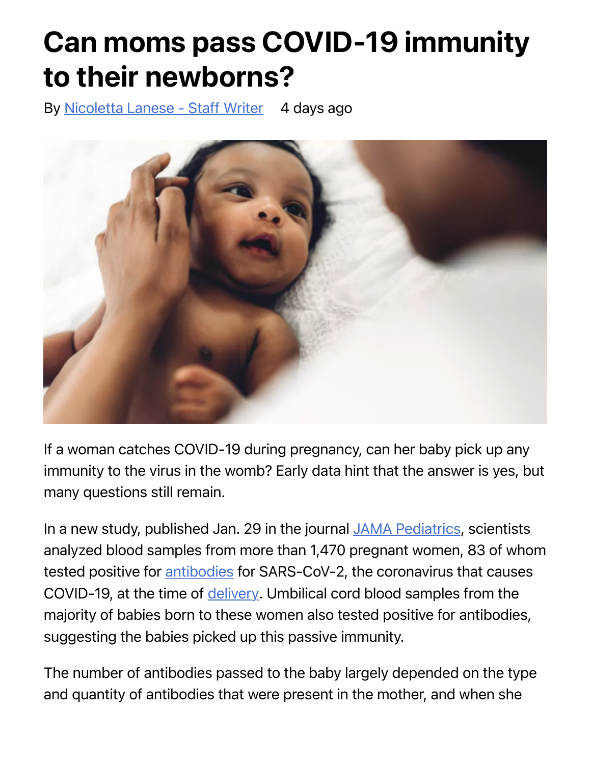## Can moms pass COVID-19 immunity to their newborns?

By [Nicoletta Lanese - Staff Writer](https://www.livescience.com/author/nicoletta-lanese) 4 days ago



If a woman catches COVID-19 during pregnancy, can her baby pick up any immunity to the virus in the womb? Early data hint that the answer is yes, but many questions still remain.

In a new study, published Jan. 29 in the journal [JAMA Pediatrics](https://jamanetwork.com/journals/jama/fullarticle/10.1001/jamapediatrics.2021.0038?utm_campaign=articlePDF%26utm_medium=articlePDFlink%26utm_source=articlePDF%26utm_content=jamapediatrics.2021.0038), scientists analyzed blood samples from more than 1,470 pregnant women, 83 of whom tested positive for [antibodies](https://www.livescience.com/antibodies.html) for SARS-CoV-2, the coronavirus that causes COVID-19, at the time of [delivery](https://www.livescience.com/44554-signs-of-labor.html). Umbilical cord blood samples from the majority of babies born to these women also tested positive for antibodies, suggesting the babies picked up this passive immunity.

The number of antibodies passed to the baby largely depended on the type and quantity of antibodies that were present in the mother, and when she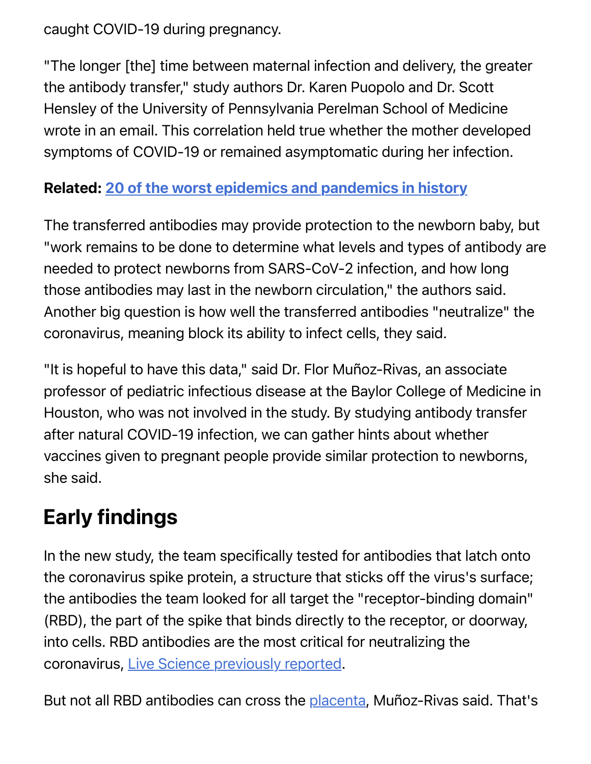caught COVID-19 during pregnancy.

"The longer [the] time between maternal infection and delivery, the greater the antibody transfer," study authors Dr. Karen Puopolo and Dr. Scott Hensley of the University of Pennsylvania Perelman School of Medicine wrote in an email. This correlation held true whether the mother developed symptoms of COVID-19 or remained asymptomatic during her infection.

## Related: [20 of the worst epidemics and pandemics in history](https://www.livescience.com/worst-epidemics-and-pandemics-in-history.html)

The transferred antibodies may provide protection to the newborn baby, but "work remains to be done to determine what levels and types of antibody are needed to protect newborns from SARS-CoV-2 infection, and how long those antibodies may last in the newborn circulation," the authors said. Another big question is how well the transferred antibodies "neutralize" the coronavirus, meaning block its ability to infect cells, they said.

"It is hopeful to have this data," said Dr. Flor Muñoz-Rivas, an associate professor of pediatric infectious disease at the Baylor College of Medicine in Houston, who was not involved in the study. By studying antibody transfer after natural COVID-19 infection, we can gather hints about whether vaccines given to pregnant people provide similar protection to newborns, she said.

## Early findings

In the new study, the team specifically tested for antibodies that latch onto the coronavirus spike protein, a structure that sticks off the virus's surface; the antibodies the team looked for all target the "receptor-binding domain" (RBD), the part of the spike that binds directly to the receptor, or doorway, into cells. RBD antibodies are the most critical for neutralizing the coronavirus, [Live Science previously reported.](https://www.livescience.com/south-african-coronavirus-variant-antibody-resistant.html)

But not all RBD antibodies can cross the [placenta](https://www.livescience.com/58517-reasons-why-placentas-are-awesome.html), Muñoz-Rivas said. That's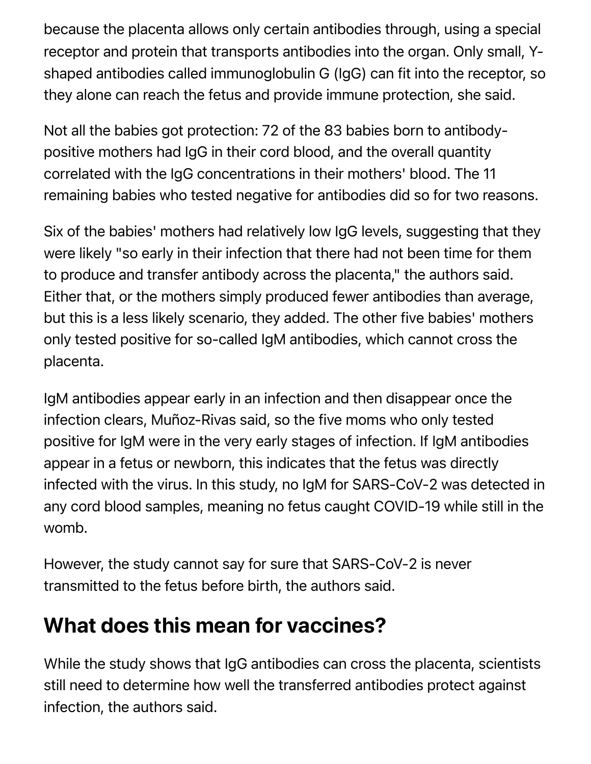because the placenta allows only certain antibodies through, using a special receptor and protein that transports antibodies into the organ. Only small, Yshaped antibodies called immunoglobulin G (IgG) can fit into the receptor, so they alone can reach the fetus and provide immune protection, she said.

Not all the babies got protection: 72 of the 83 babies born to antibodypositive mothers had IgG in their cord blood, and the overall quantity correlated with the IgG concentrations in their mothers' blood. The 11 remaining babies who tested negative for antibodies did so for two reasons.

Six of the babies' mothers had relatively low IgG levels, suggesting that they were likely "so early in their infection that there had not been time for them to produce and transfer antibody across the placenta," the authors said. Either that, or the mothers simply produced fewer antibodies than average, but this is a less likely scenario, they added. The other five babies' mothers only tested positive for so-called IgM antibodies, which cannot cross the placenta.

IgM antibodies appear early in an infection and then disappear once the infection clears, Muñoz-Rivas said, so the five moms who only tested positive for IgM were in the very early stages of infection. If IgM antibodies appear in a fetus or newborn, this indicates that the fetus was directly infected with the virus. In this study, no IgM for SARS-CoV-2 was detected in any cord blood samples, meaning no fetus caught COVID-19 while still in the womb.

However, the study cannot say for sure that SARS-CoV-2 is never transmitted to the fetus before birth, the authors said.

## What does this mean for vaccines?

While the study shows that IgG antibodies can cross the placenta, scientists still need to determine how well the transferred antibodies protect against infection, the authors said.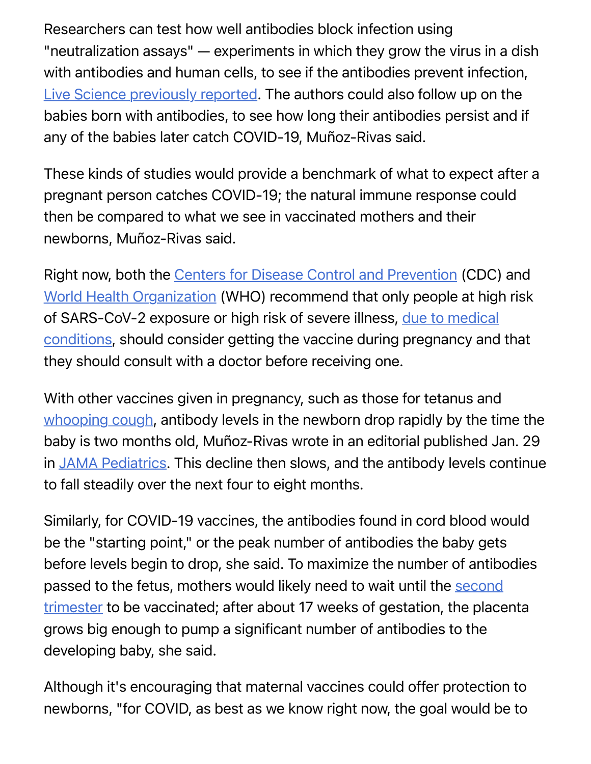Researchers can test how well antibodies block infection using "neutralization assays" — experiments in which they grow the virus in a dish with antibodies and human cells, to see if the antibodies prevent infection, [Live Science previously reported.](https://www.livescience.com/south-africa-variant-coronavirus-vaccines.html) The authors could also follow up on the babies born with antibodies, to see how long their antibodies persist and if any of the babies later catch COVID-19, Muñoz-Rivas said.

These kinds of studies would provide a benchmark of what to expect after a pregnant person catches COVID-19; the natural immune response could then be compared to what we see in vaccinated mothers and their newborns, Muñoz-Rivas said.

Right now, both the [Centers for Disease Control and Prevention](https://www.cdc.gov/coronavirus/2019-ncov/vaccines/recommendations/pregnancy.html) (CDC) and [World Health Organization](https://www.who.int/publications/i/item/interim-recommendations-for-use-of-the-moderna-mrna-1273-vaccine-against-covid-19) (WHO) recommend that only people at high risk [of SARS-CoV-2 exposure or high risk of severe illness, due to medical](https://www.livescience.com/why-covid-19-coronavirus-deadly-for-some-people.html) conditions, should consider getting the vaccine during pregnancy and that they should consult with a doctor before receiving one.

With other vaccines given in pregnancy, such as those for tetanus and [whooping cough,](https://www.livescience.com/41956-whooping-cough-symptoms-treatment.html) antibody levels in the newborn drop rapidly by the time the baby is two months old, Muñoz-Rivas wrote in an editorial published Jan. 29 in [JAMA Pediatrics](https://jamanetwork.com/journals/jamapediatrics/fullarticle/2775944). This decline then slows, and the antibody levels continue to fall steadily over the next four to eight months.

Similarly, for COVID-19 vaccines, the antibodies found in cord blood would be the "starting point," or the peak number of antibodies the baby gets before levels begin to drop, she said. To maximize the number of antibodies passed to the fetus, mothers would likely need to wait until the second [trimester to be vaccinated; after about 17 weeks of gestation, the place](https://www.livescience.com/44899-stages-of-pregnancy.html)nta grows big enough to pump a significant number of antibodies to the developing baby, she said.

Although it's encouraging that maternal vaccines could offer protection to newborns, "for COVID, as best as we know right now, the goal would be to